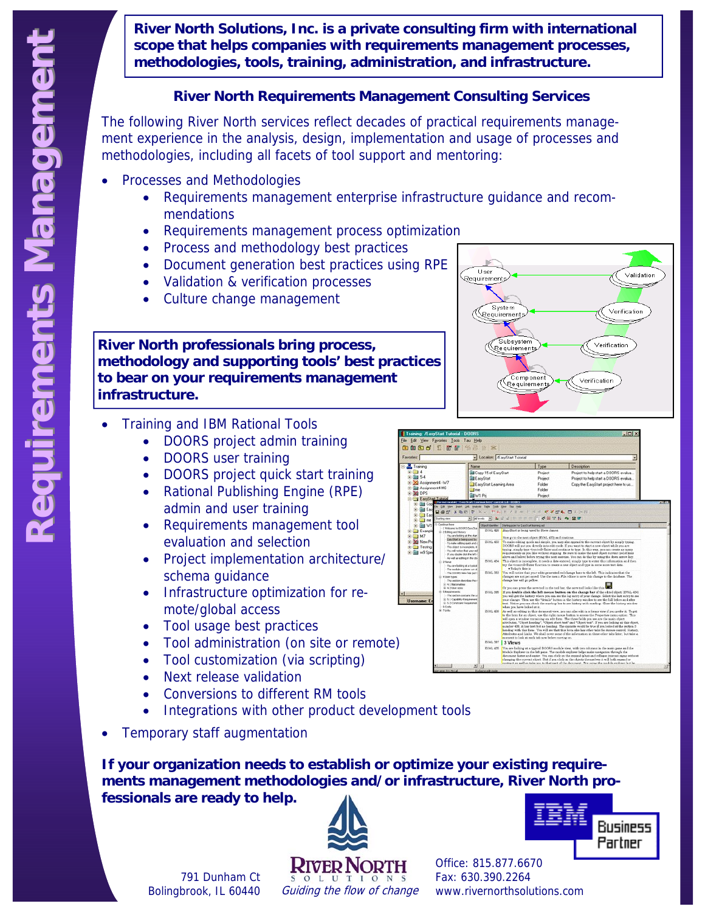**River North Solutions, Inc. is a private consulting firm with international scope that helps companies with requirements management processes, methodologies, tools, training, administration, and infrastructure.** 

### **River North Requirements Management Consulting Services**

The following River North services reflect decades of practical requirements management experience in the analysis, design, implementation and usage of processes and methodologies, including all facets of tool support and mentoring:

- Processes and Methodologies
	- Requirements management enterprise infrastructure guidance and recommendations
	- Requirements management process optimization
	- Process and methodology best practices
	- Document generation best practices using RPE
	- Validation & verification processes
	- Culture change management

**River North professionals bring process, methodology and supporting tools' best practices to bear on your requirements management infrastructure.** 

- Training and IBM Rational Tools
	- DOORS project admin training
	- DOORS user training
	- DOORS project quick start training
	- Rational Publishing Engine (RPE) admin and user training
	- Requirements management tool evaluation and selection
	- Project implementation architecture/ schema guidance
	- Infrastructure optimization for remote/global access
	- Tool usage best practices
	- Tool administration (on site or remote)
	- Tool customization (via scripting)
	- Next release validation

791 Dunham Ct Bolingbrook, IL 60440

- Conversions to different RM tools
- Integrations with other product development tools
- Temporary staff augmentation

**If your organization needs to establish or optimize your existing requirements management methodologies and/or infrastructure, River North professionals are ready to help.** 





Fax: 630.390.2264 www.rivernorthsolutions.com